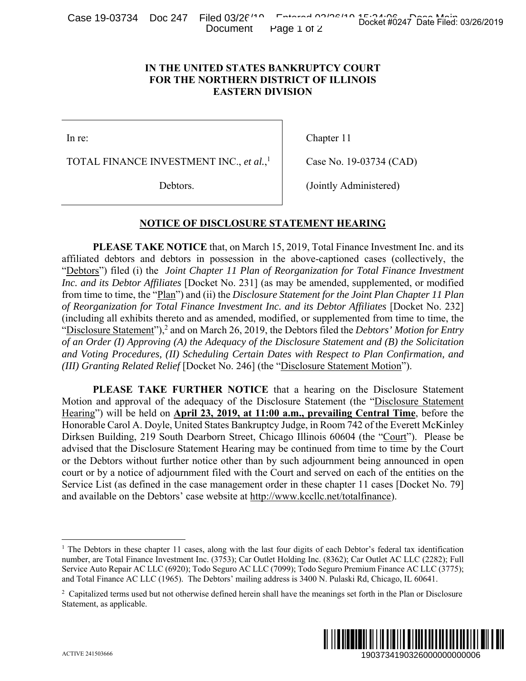Case 19-03734 Doc 247 Filed 03/26/10 Entered 03/26/10 Docket #0247 Date Filed: 03/26/2019 Document Page 1 of 2

## **IN THE UNITED STATES BANKRUPTCY COURT FOR THE NORTHERN DISTRICT OF ILLINOIS EASTERN DIVISION**

In re:

TOTAL FINANCE INVESTMENT INC., *et al.*, 1

Chapter 11

(Jointly Administered)

Case No. 19-03734 (CAD)

Debtors.

## **NOTICE OF DISCLOSURE STATEMENT HEARING**

**PLEASE TAKE NOTICE** that, on March 15, 2019, Total Finance Investment Inc. and its affiliated debtors and debtors in possession in the above-captioned cases (collectively, the "Debtors") filed (i) the *Joint Chapter 11 Plan of Reorganization for Total Finance Investment Inc. and its Debtor Affiliates* [Docket No. 231] (as may be amended, supplemented, or modified from time to time, the "Plan") and (ii) the *Disclosure Statement for the Joint Plan Chapter 11 Plan of Reorganization for Total Finance Investment Inc. and its Debtor Affiliates [Docket No. 232]* (including all exhibits thereto and as amended, modified, or supplemented from time to time, the "Disclosure Statement"),<sup>2</sup> and on March 26, 2019, the Debtors filed the *Debtors' Motion for Entry of an Order (I) Approving (A) the Adequacy of the Disclosure Statement and (B) the Solicitation and Voting Procedures, (II) Scheduling Certain Dates with Respect to Plan Confirmation, and (III) Granting Related Relief* [Docket No. 246] (the "Disclosure Statement Motion"). Docket #0247 Date Filed: 03/26/2019<br>
URT<br>
URT<br>
URT<br>
OIS<br>
CONS<br>
CONS<br>
CONS<br>
CONS<br>
CONS<br>
CONS<br>
CONS<br>
CONS<br>
CONS<br>
CONS<br>
CONS<br>
CONS<br>
CONS<br>
CONS<br>
CONS<br>
CONS<br>
CONS<br>
CONS<br>
CONS<br>
CONS<br>
CONS<br>
CONS<br>
CONS<br>
CONS<br>
CONS<br>
CONS<br>
CONS<br>
CO

**PLEASE TAKE FURTHER NOTICE** that a hearing on the Disclosure Statement Motion and approval of the adequacy of the Disclosure Statement (the "Disclosure Statement Hearing") will be held on **April 23, 2019, at 11:00 a.m., prevailing Central Time**, before the Honorable Carol A. Doyle, United States Bankruptcy Judge, in Room 742 of the Everett McKinley Dirksen Building, 219 South Dearborn Street, Chicago Illinois 60604 (the "Court"). Please be advised that the Disclosure Statement Hearing may be continued from time to time by the Court or the Debtors without further notice other than by such adjournment being announced in open court or by a notice of adjournment filed with the Court and served on each of the entities on the Service List (as defined in the case management order in these chapter 11 cases [Docket No. 79] and available on the Debtors' case website at http://www.kccllc.net/totalfinance).

<sup>&</sup>lt;sup>2</sup> Capitalized terms used but not otherwise defined herein shall have the meanings set forth in the Plan or Disclosure Statement, as applicable.



 $\overline{a}$ 

<sup>&</sup>lt;sup>1</sup> The Debtors in these chapter 11 cases, along with the last four digits of each Debtor's federal tax identification number, are Total Finance Investment Inc. (3753); Car Outlet Holding Inc. (8362); Car Outlet AC LLC (2282); Full Service Auto Repair AC LLC (6920); Todo Seguro AC LLC (7099); Todo Seguro Premium Finance AC LLC (3775); and Total Finance AC LLC (1965). The Debtors' mailing address is 3400 N. Pulaski Rd, Chicago, IL 60641.